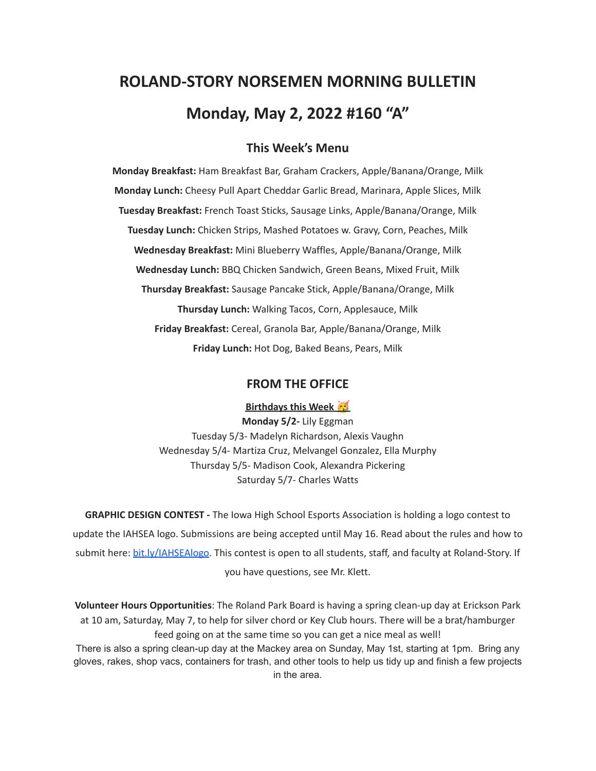# **ROLAND-STORY NORSEMEN MORNING BULLETIN Monday, May 2, 2022 #160 "A"**

## **This Week's Menu**

**Monday Breakfast:** Ham Breakfast Bar, Graham Crackers, Apple/Banana/Orange, Milk **Monday Lunch:** Cheesy Pull Apart Cheddar Garlic Bread, Marinara, Apple Slices, Milk **Tuesday Breakfast:** French Toast Sticks, Sausage Links, Apple/Banana/Orange, Milk **Tuesday Lunch:** Chicken Strips, Mashed Potatoes w. Gravy, Corn, Peaches, Milk **Wednesday Breakfast:** Mini Blueberry Waffles, Apple/Banana/Orange, Milk **Wednesday Lunch:** BBQ Chicken Sandwich, Green Beans, Mixed Fruit, Milk **Thursday Breakfast:** Sausage Pancake Stick, Apple/Banana/Orange, Milk **Thursday Lunch:** Walking Tacos, Corn, Applesauce, Milk **Friday Breakfast:** Cereal, Granola Bar, Apple/Banana/Orange, Milk **Friday Lunch:** Hot Dog, Baked Beans, Pears, Milk

#### **FROM THE OFFICE**

**Birthdays this Week**

**Monday 5/2-** Lily Eggman Tuesday 5/3- Madelyn Richardson, Alexis Vaughn Wednesday 5/4- Martiza Cruz, Melvangel Gonzalez, Ella Murphy Thursday 5/5- Madison Cook, Alexandra Pickering Saturday 5/7- Charles Watts

**GRAPHIC DESIGN CONTEST -** The Iowa High School Esports Association is holding a logo contest to update the IAHSEA logo. Submissions are being accepted until May 16. Read about the rules and how to submit here: [bit.ly/IAHSEAlogo.](http://bit.ly/IAHSEAlogo) This contest is open to all students, staff, and faculty at Roland-Story. If you have questions, see Mr. Klett.

**Volunteer Hours Opportunities**: The Roland Park Board is having a spring clean-up day at Erickson Park at 10 am, Saturday, May 7, to help for silver chord or Key Club hours. There will be a brat/hamburger feed going on at the same time so you can get a nice meal as well! There is also a spring clean-up day at the Mackey area on Sunday, May 1st, starting at 1pm. Bring any gloves, rakes, shop vacs, containers for trash, and other tools to help us tidy up and finish a few projects

in the area.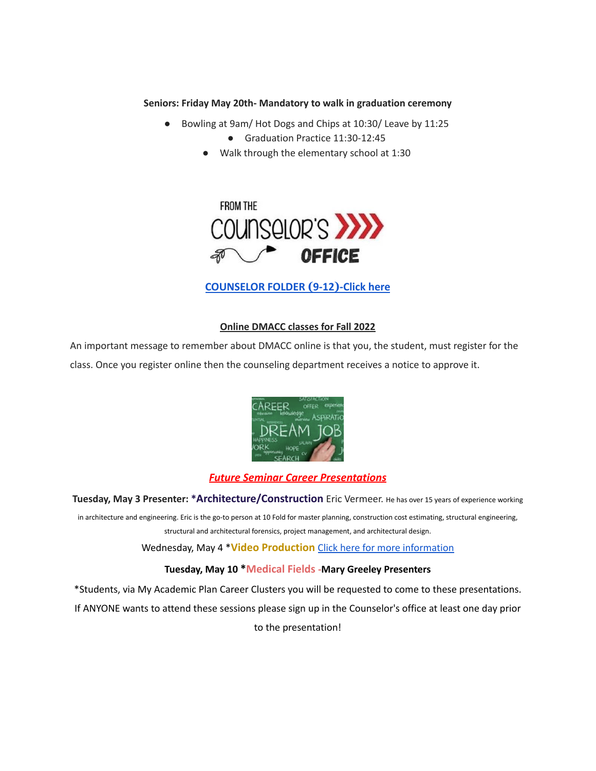#### **Seniors: Friday May 20th- Mandatory to walk in graduation ceremony**

- Bowling at 9am/ Hot Dogs and Chips at 10:30/ Leave by 11:25
	- Graduation Practice 11:30-12:45
	- Walk through the elementary school at 1:30



# **[COUNSELOR FOLDER](https://docs.google.com/document/d/1vmwczNPbDzXe9vFaG5LJMQ7NYDv-i4oQJHybqA65TUc/edit?usp=sharing) (9-12)-Click here**

#### **Online DMACC classes for Fall 2022**

An important message to remember about DMACC online is that you, the student, must register for the class. Once you register online then the counseling department receives a notice to approve it.



#### *Future Seminar Career Presentations*

**Tuesday, May 3 Presenter: \*Architecture/Construction** Eric Vermeer. He has over <sup>15</sup> years of experience working

in architecture and engineering. Eric is the go-to person at 10 Fold for master planning, construction cost estimating, structural engineering, structural and architectural forensics, project management, and architectural design.

Wednesday, May 4 \***Video Production** Click here for more [information](https://www.dmacc.edu/programs/video/Pages/welcome.aspx)

#### **Tuesday, May 10 \*Medical Fields -Mary Greeley Presenters**

\*Students, via My Academic Plan Career Clusters you will be requested to come to these presentations. If ANYONE wants to attend these sessions please sign up in the Counselor's office at least one day prior to the presentation!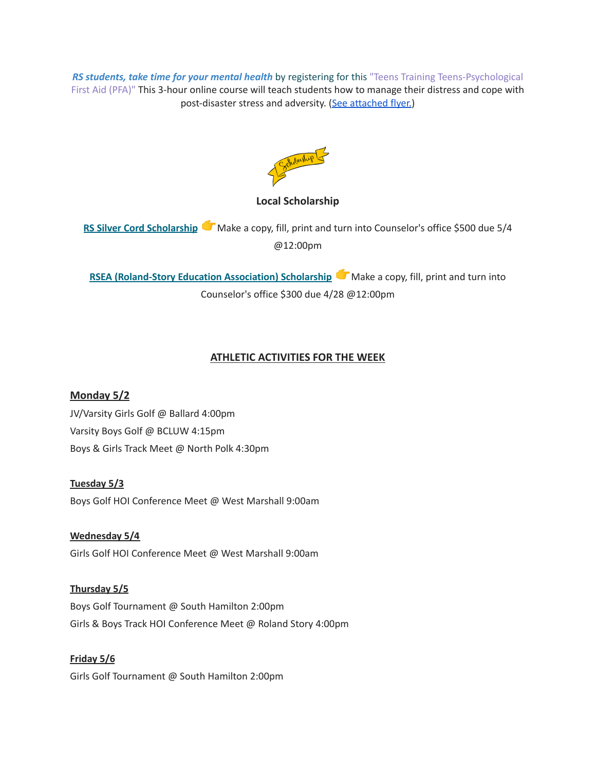*RS students, take time for your mental health* by registering for this "Teens Training Teens-Psychological First Aid (PFA)" This 3-hour online course will teach students how to manage their distress and cope with post-disaster stress and adversity. (See [attached](https://drive.google.com/file/d/18ZxsDgb9mTVccDP5AD1ejwqoEi1MNUwE/view?usp=sharing) flyer.)



## **Local Scholarship**

**RS Silver Cord [Scholarship](https://docs.google.com/document/d/12og0k5MTIc1OeFEzEig2sJZbI5ykSKtMlEJRu1iKhdA/edit?usp=sharing)** Make a copy, fill, print and turn into Counselor's office \$500 due 5/4 @12:00pm

**RSEA** [\(Roland-Story](https://docs.google.com/document/d/1YwFGXKN4fBAFzL5lRATvKspYv1CbagujvEZKrQq0Kcg/edit?usp=sharing) Education Association) Scholarship Make a copy, fill, print and turn into Counselor's office \$300 due 4/28 @12:00pm

# **ATHLETIC ACTIVITIES FOR THE WEEK**

**Monday 5/2** JV/Varsity Girls Golf @ Ballard 4:00pm Varsity Boys Golf @ BCLUW 4:15pm Boys & Girls Track Meet @ North Polk 4:30pm

**Tuesday 5/3** Boys Golf HOI Conference Meet @ West Marshall 9:00am

**Wednesday 5/4** Girls Golf HOI Conference Meet @ West Marshall 9:00am

**Thursday 5/5** Boys Golf Tournament @ South Hamilton 2:00pm Girls & Boys Track HOI Conference Meet @ Roland Story 4:00pm

**Friday 5/6** Girls Golf Tournament @ South Hamilton 2:00pm